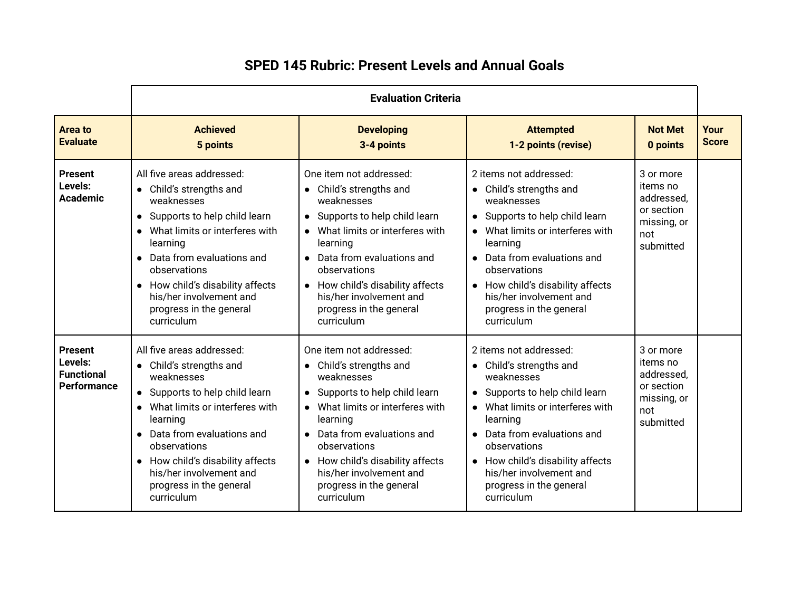|                                                                      | <b>Evaluation Criteria</b>                                                                                                                                                                                                                                                                                  |                                                                                                                                                                                                                                                                                                                    |                                                                                                                                                                                                                                                                                                          |                                                                                      |                      |
|----------------------------------------------------------------------|-------------------------------------------------------------------------------------------------------------------------------------------------------------------------------------------------------------------------------------------------------------------------------------------------------------|--------------------------------------------------------------------------------------------------------------------------------------------------------------------------------------------------------------------------------------------------------------------------------------------------------------------|----------------------------------------------------------------------------------------------------------------------------------------------------------------------------------------------------------------------------------------------------------------------------------------------------------|--------------------------------------------------------------------------------------|----------------------|
| Area to<br><b>Evaluate</b>                                           | <b>Achieved</b><br>5 points                                                                                                                                                                                                                                                                                 | <b>Developing</b><br>3-4 points                                                                                                                                                                                                                                                                                    | <b>Attempted</b><br>1-2 points (revise)                                                                                                                                                                                                                                                                  | <b>Not Met</b><br>0 points                                                           | Your<br><b>Score</b> |
| <b>Present</b><br>Levels:<br><b>Academic</b>                         | All five areas addressed:<br>• Child's strengths and<br>weaknesses<br>• Supports to help child learn<br>What limits or interferes with<br>learning<br>• Data from evaluations and<br>observations<br>• How child's disability affects<br>his/her involvement and<br>progress in the general<br>curriculum   | One item not addressed:<br>• Child's strengths and<br>weaknesses<br>• Supports to help child learn<br>What limits or interferes with<br>learning<br>• Data from evaluations and<br>observations<br>• How child's disability affects<br>his/her involvement and<br>progress in the general<br>curriculum            | 2 items not addressed:<br>• Child's strengths and<br>weaknesses<br>• Supports to help child learn<br>What limits or interferes with<br>learning<br>• Data from evaluations and<br>observations<br>• How child's disability affects<br>his/her involvement and<br>progress in the general<br>curriculum   | 3 or more<br>items no<br>addressed,<br>or section<br>missing, or<br>not<br>submitted |                      |
| <b>Present</b><br>Levels:<br><b>Functional</b><br><b>Performance</b> | All five areas addressed:<br>• Child's strengths and<br>weaknesses<br>• Supports to help child learn<br>• What limits or interferes with<br>learning<br>• Data from evaluations and<br>observations<br>• How child's disability affects<br>his/her involvement and<br>progress in the general<br>curriculum | One item not addressed:<br>• Child's strengths and<br>weaknesses<br>Supports to help child learn<br>• What limits or interferes with<br>learning<br>Data from evaluations and<br>$\bullet$<br>observations<br>• How child's disability affects<br>his/her involvement and<br>progress in the general<br>curriculum | 2 items not addressed:<br>• Child's strengths and<br>weaknesses<br>• Supports to help child learn<br>• What limits or interferes with<br>learning<br>• Data from evaluations and<br>observations<br>• How child's disability affects<br>his/her involvement and<br>progress in the general<br>curriculum | 3 or more<br>items no<br>addressed,<br>or section<br>missing, or<br>not<br>submitted |                      |

## **SPED 145 Rubric: Present Levels and Annual Goals**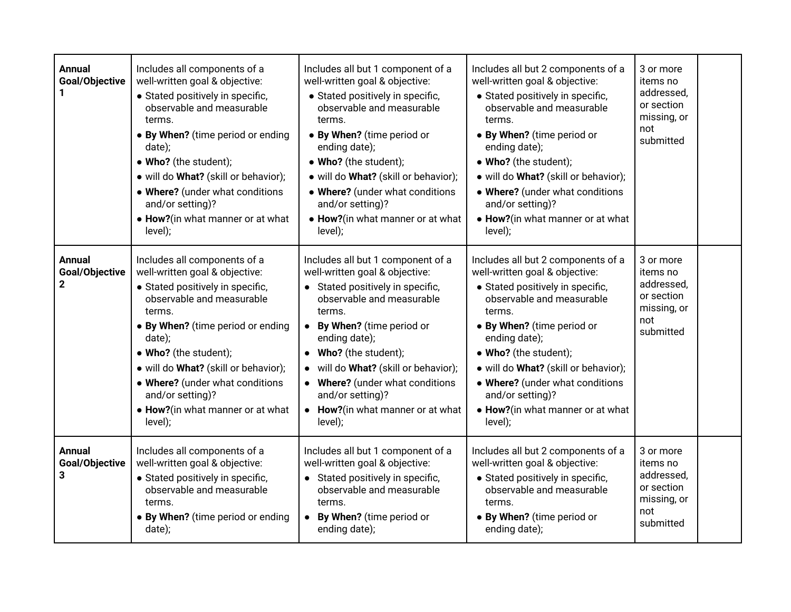| <b>Annual</b><br>Goal/Objective                 | Includes all components of a<br>well-written goal & objective:<br>· Stated positively in specific,<br>observable and measurable<br>terms.<br>• By When? (time period or ending<br>date);<br>• Who? (the student);<br>· will do What? (skill or behavior);<br>. Where? (under what conditions<br>and/or setting)?<br>• How?(in what manner or at what<br>level); | Includes all but 1 component of a<br>well-written goal & objective:<br>• Stated positively in specific,<br>observable and measurable<br>terms.<br>• By When? (time period or<br>ending date);<br>• Who? (the student);<br>· will do What? (skill or behavior);<br>• Where? (under what conditions<br>and/or setting)?<br>• How?(in what manner or at what<br>level);                     | Includes all but 2 components of a<br>well-written goal & objective:<br>• Stated positively in specific,<br>observable and measurable<br>terms.<br>• By When? (time period or<br>ending date);<br>• Who? (the student);<br>· will do What? (skill or behavior);<br>• Where? (under what conditions<br>and/or setting)?<br>• How?(in what manner or at what<br>level); | 3 or more<br>items no<br>addressed,<br>or section<br>missing, or<br>not<br>submitted |  |
|-------------------------------------------------|-----------------------------------------------------------------------------------------------------------------------------------------------------------------------------------------------------------------------------------------------------------------------------------------------------------------------------------------------------------------|------------------------------------------------------------------------------------------------------------------------------------------------------------------------------------------------------------------------------------------------------------------------------------------------------------------------------------------------------------------------------------------|-----------------------------------------------------------------------------------------------------------------------------------------------------------------------------------------------------------------------------------------------------------------------------------------------------------------------------------------------------------------------|--------------------------------------------------------------------------------------|--|
| <b>Annual</b><br>Goal/Objective<br>$\mathbf{2}$ | Includes all components of a<br>well-written goal & objective:<br>• Stated positively in specific,<br>observable and measurable<br>terms.<br>• By When? (time period or ending<br>date);<br>• Who? (the student);<br>· will do What? (skill or behavior);<br>. Where? (under what conditions<br>and/or setting)?<br>• How?(in what manner or at what<br>level); | Includes all but 1 component of a<br>well-written goal & objective:<br>• Stated positively in specific,<br>observable and measurable<br>terms.<br>By When? (time period or<br>$\bullet$<br>ending date);<br>Who? (the student);<br>$\bullet$<br>will do What? (skill or behavior);<br>• Where? (under what conditions<br>and/or setting)?<br>• How?(in what manner or at what<br>level); | Includes all but 2 components of a<br>well-written goal & objective:<br>• Stated positively in specific,<br>observable and measurable<br>terms.<br>• By When? (time period or<br>ending date);<br>• Who? (the student);<br>· will do What? (skill or behavior);<br>• Where? (under what conditions<br>and/or setting)?<br>• How?(in what manner or at what<br>level); | 3 or more<br>items no<br>addressed,<br>or section<br>missing, or<br>not<br>submitted |  |
| <b>Annual</b><br>Goal/Objective<br>3            | Includes all components of a<br>well-written goal & objective:<br>• Stated positively in specific,<br>observable and measurable<br>terms.<br>• By When? (time period or ending<br>date);                                                                                                                                                                        | Includes all but 1 component of a<br>well-written goal & objective:<br>• Stated positively in specific,<br>observable and measurable<br>terms.<br>By When? (time period or<br>$\bullet$<br>ending date);                                                                                                                                                                                 | Includes all but 2 components of a<br>well-written goal & objective:<br>• Stated positively in specific,<br>observable and measurable<br>terms.<br>• By When? (time period or<br>ending date);                                                                                                                                                                        | 3 or more<br>items no<br>addressed,<br>or section<br>missing, or<br>not<br>submitted |  |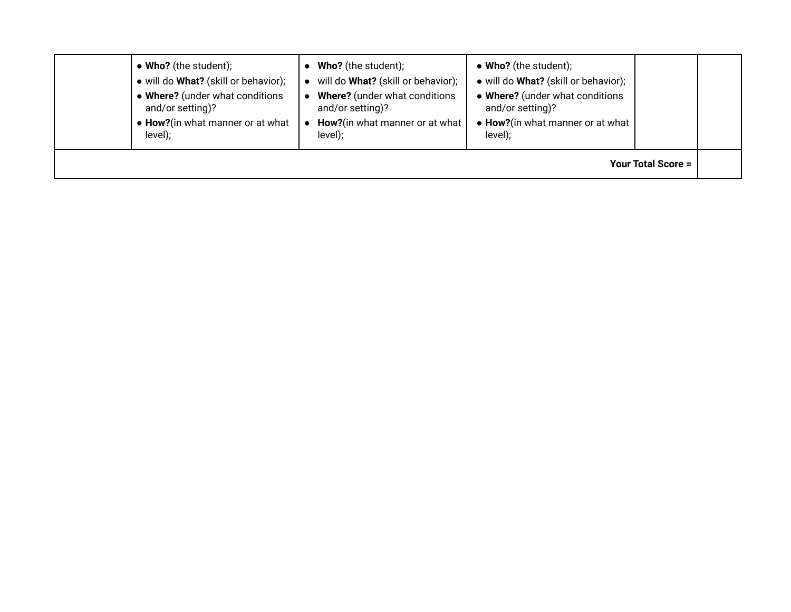| • Who? (the student);                | <b>Who?</b> (the student);         | • Who? (the student);                |  |  |  |  |
|--------------------------------------|------------------------------------|--------------------------------------|--|--|--|--|
| • will do What? (skill or behavior); | will do What? (skill or behavior); | · will do What? (skill or behavior); |  |  |  |  |
| • Where? (under what conditions      | Where? (under what conditions      | • Where? (under what conditions      |  |  |  |  |
| and/or setting)?                     | and/or setting)?                   | and/or setting)?                     |  |  |  |  |
| • How?(in what manner or at what     | How?(in what manner or at what     | • How?(in what manner or at what     |  |  |  |  |
| level);                              | level);                            | level);                              |  |  |  |  |
| <b>Your Total Score =</b>            |                                    |                                      |  |  |  |  |